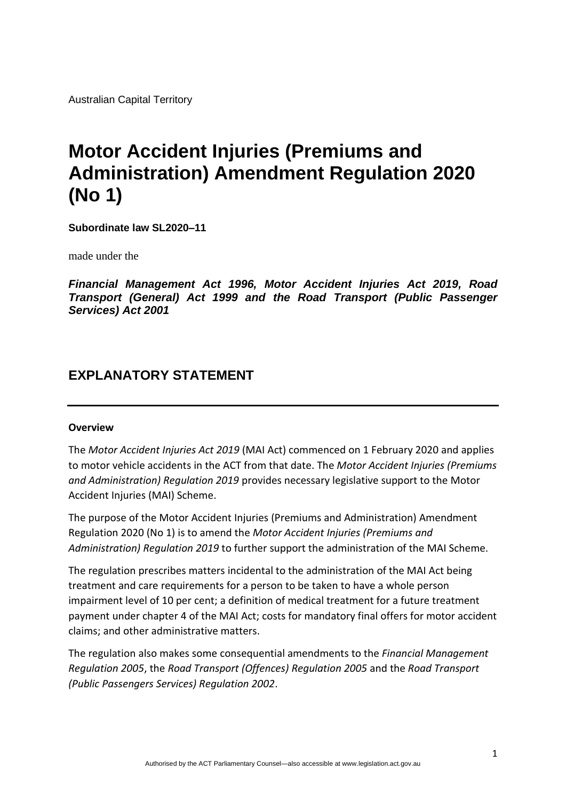Australian Capital Territory

# **Motor Accident Injuries (Premiums and Administration) Amendment Regulation 2020 (No 1)**

**Subordinate law SL2020–11**

made under the

*Financial Management Act 1996, Motor Accident Injuries Act 2019, Road Transport (General) Act 1999 and the Road Transport (Public Passenger Services) Act 2001*

# **EXPLANATORY STATEMENT**

#### **Overview**

The *Motor Accident Injuries Act 2019* (MAI Act) commenced on 1 February 2020 and applies to motor vehicle accidents in the ACT from that date. The *Motor Accident Injuries (Premiums and Administration) Regulation 2019* provides necessary legislative support to the Motor Accident Injuries (MAI) Scheme.

The purpose of the Motor Accident Injuries (Premiums and Administration) Amendment Regulation 2020 (No 1) is to amend the *Motor Accident Injuries (Premiums and Administration) Regulation 2019* to further support the administration of the MAI Scheme.

The regulation prescribes matters incidental to the administration of the MAI Act being treatment and care requirements for a person to be taken to have a whole person impairment level of 10 per cent; a definition of medical treatment for a future treatment payment under chapter 4 of the MAI Act; costs for mandatory final offers for motor accident claims; and other administrative matters.

The regulation also makes some consequential amendments to the *Financial Management Regulation 2005*, the *Road Transport (Offences) Regulation 2005* and the *Road Transport (Public Passengers Services) Regulation 2002*.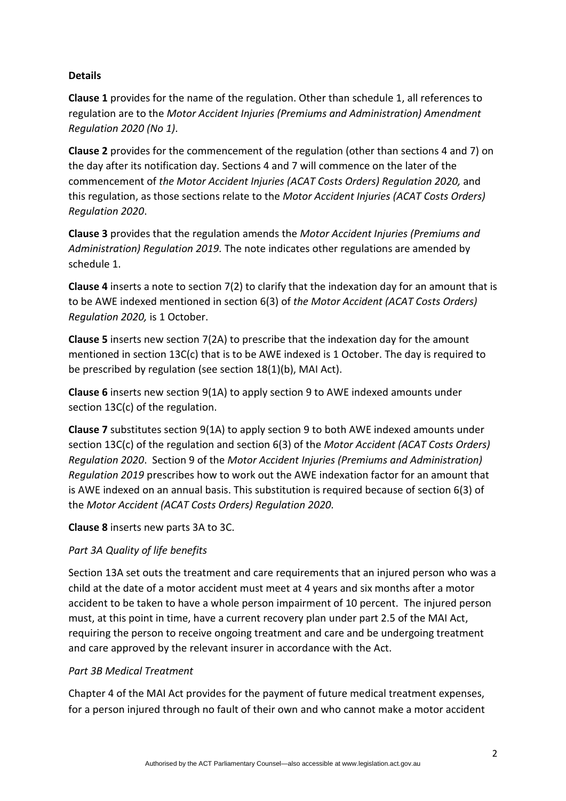# **Details**

**Clause 1** provides for the name of the regulation. Other than schedule 1, all references to regulation are to the *Motor Accident Injuries (Premiums and Administration) Amendment Regulation 2020 (No 1)*.

**Clause 2** provides for the commencement of the regulation (other than sections 4 and 7) on the day after its notification day. Sections 4 and 7 will commence on the later of the commencement of *the Motor Accident Injuries (ACAT Costs Orders) Regulation 2020,* and this regulation, as those sections relate to the *Motor Accident Injuries (ACAT Costs Orders) Regulation 2020*.

**Clause 3** provides that the regulation amends the *Motor Accident Injuries (Premiums and Administration) Regulation 2019.* The note indicates other regulations are amended by schedule 1.

**Clause 4** inserts a note to section 7(2) to clarify that the indexation day for an amount that is to be AWE indexed mentioned in section 6(3) of *the Motor Accident (ACAT Costs Orders) Regulation 2020,* is 1 October.

**Clause 5** inserts new section 7(2A) to prescribe that the indexation day for the amount mentioned in section 13C(c) that is to be AWE indexed is 1 October. The day is required to be prescribed by regulation (see section 18(1)(b), MAI Act).

**Clause 6** inserts new section 9(1A) to apply section 9 to AWE indexed amounts under section 13C(c) of the regulation.

**Clause 7** substitutes section 9(1A) to apply section 9 to both AWE indexed amounts under section 13C(c) of the regulation and section 6(3) of the *Motor Accident (ACAT Costs Orders) Regulation 2020*. Section 9 of the *Motor Accident Injuries (Premiums and Administration) Regulation 2019* prescribes how to work out the AWE indexation factor for an amount that is AWE indexed on an annual basis. This substitution is required because of section 6(3) of the *Motor Accident (ACAT Costs Orders) Regulation 2020.*

**Clause 8** inserts new parts 3A to 3C.

# *Part 3A Quality of life benefits*

Section 13A set outs the treatment and care requirements that an injured person who was a child at the date of a motor accident must meet at 4 years and six months after a motor accident to be taken to have a whole person impairment of 10 percent. The injured person must, at this point in time, have a current recovery plan under part 2.5 of the MAI Act, requiring the person to receive ongoing treatment and care and be undergoing treatment and care approved by the relevant insurer in accordance with the Act.

## *Part 3B Medical Treatment*

Chapter 4 of the MAI Act provides for the payment of future medical treatment expenses, for a person injured through no fault of their own and who cannot make a motor accident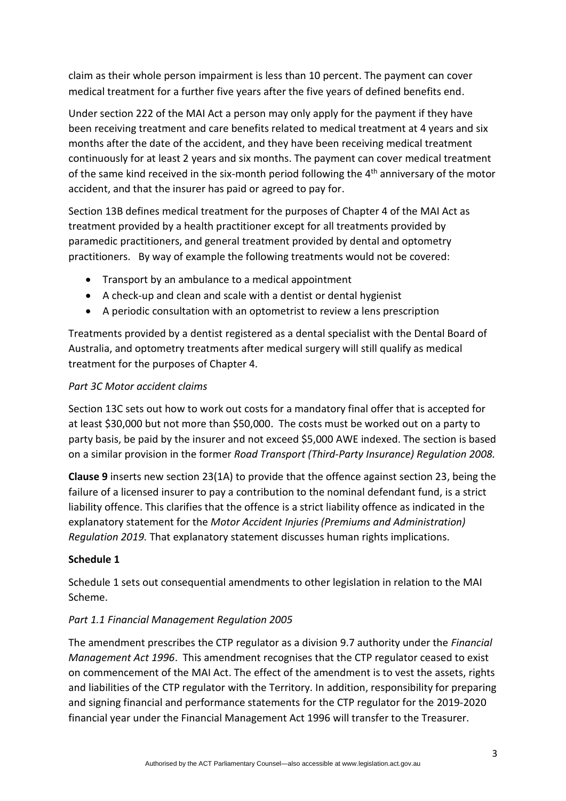claim as their whole person impairment is less than 10 percent. The payment can cover medical treatment for a further five years after the five years of defined benefits end.

Under section 222 of the MAI Act a person may only apply for the payment if they have been receiving treatment and care benefits related to medical treatment at 4 years and six months after the date of the accident, and they have been receiving medical treatment continuously for at least 2 years and six months. The payment can cover medical treatment of the same kind received in the six-month period following the 4<sup>th</sup> anniversary of the motor accident, and that the insurer has paid or agreed to pay for.

Section 13B defines medical treatment for the purposes of Chapter 4 of the MAI Act as treatment provided by a health practitioner except for all treatments provided by paramedic practitioners, and general treatment provided by dental and optometry practitioners. By way of example the following treatments would not be covered:

- Transport by an ambulance to a medical appointment
- A check-up and clean and scale with a dentist or dental hygienist
- A periodic consultation with an optometrist to review a lens prescription

Treatments provided by a dentist registered as a dental specialist with the Dental Board of Australia, and optometry treatments after medical surgery will still qualify as medical treatment for the purposes of Chapter 4.

#### *Part 3C Motor accident claims*

Section 13C sets out how to work out costs for a mandatory final offer that is accepted for at least \$30,000 but not more than \$50,000. The costs must be worked out on a party to party basis, be paid by the insurer and not exceed \$5,000 AWE indexed. The section is based on a similar provision in the former *Road Transport (Third-Party Insurance) Regulation 2008.*

**Clause 9** inserts new section 23(1A) to provide that the offence against section 23, being the failure of a licensed insurer to pay a contribution to the nominal defendant fund, is a strict liability offence. This clarifies that the offence is a strict liability offence as indicated in the explanatory statement for the *Motor Accident Injuries (Premiums and Administration) Regulation 2019.* That explanatory statement discusses human rights implications.

#### **Schedule 1**

Schedule 1 sets out consequential amendments to other legislation in relation to the MAI Scheme.

## *Part 1.1 Financial Management Regulation 2005*

The amendment prescribes the CTP regulator as a division 9.7 authority under the *Financial Management Act 1996*. This amendment recognises that the CTP regulator ceased to exist on commencement of the MAI Act. The effect of the amendment is to vest the assets, rights and liabilities of the CTP regulator with the Territory. In addition, responsibility for preparing and signing financial and performance statements for the CTP regulator for the 2019-2020 financial year under the Financial Management Act 1996 will transfer to the Treasurer.